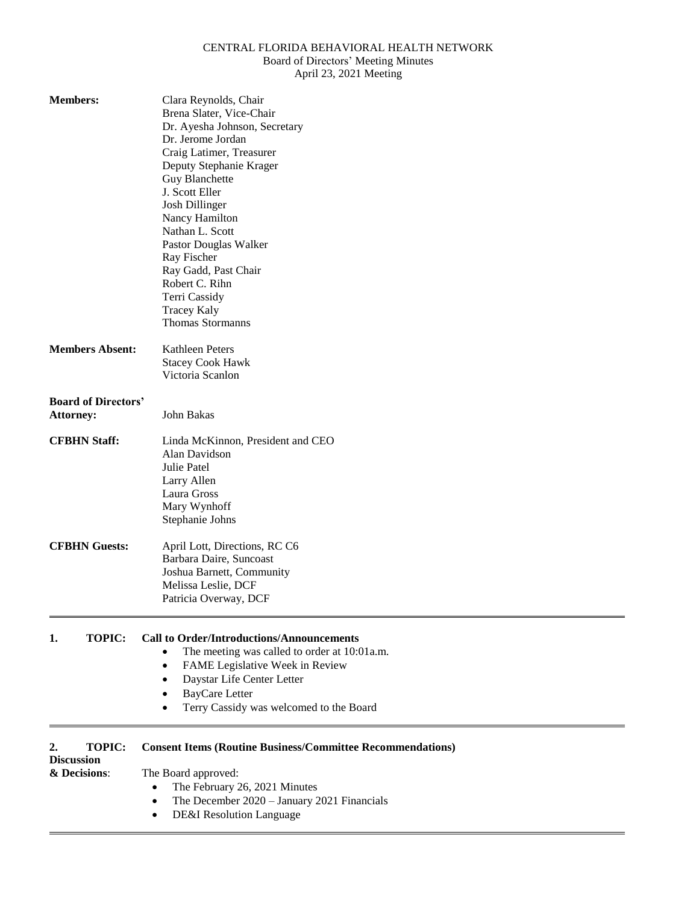# CENTRAL FLORIDA BEHAVIORAL HEALTH NETWORK Board of Directors' Meeting Minutes

April 23, 2021 Meeting

| <b>Members:</b>                                          | Clara Reynolds, Chair<br>Brena Slater, Vice-Chair<br>Dr. Ayesha Johnson, Secretary<br>Dr. Jerome Jordan<br>Craig Latimer, Treasurer<br>Deputy Stephanie Krager<br>Guy Blanchette<br>J. Scott Eller<br><b>Josh Dillinger</b><br>Nancy Hamilton<br>Nathan L. Scott<br>Pastor Douglas Walker<br>Ray Fischer<br>Ray Gadd, Past Chair<br>Robert C. Rihn<br>Terri Cassidy<br><b>Tracey Kaly</b><br><b>Thomas Stormanns</b> |
|----------------------------------------------------------|----------------------------------------------------------------------------------------------------------------------------------------------------------------------------------------------------------------------------------------------------------------------------------------------------------------------------------------------------------------------------------------------------------------------|
| <b>Members Absent:</b>                                   | <b>Kathleen Peters</b><br><b>Stacey Cook Hawk</b><br>Victoria Scanlon                                                                                                                                                                                                                                                                                                                                                |
| <b>Board of Directors'</b><br><b>Attorney:</b>           | John Bakas                                                                                                                                                                                                                                                                                                                                                                                                           |
| <b>CFBHN Staff:</b>                                      | Linda McKinnon, President and CEO<br>Alan Davidson<br>Julie Patel<br>Larry Allen<br>Laura Gross<br>Mary Wynhoff<br>Stephanie Johns                                                                                                                                                                                                                                                                                   |
| <b>CFBHN Guests:</b>                                     | April Lott, Directions, RC C6<br>Barbara Daire, Suncoast<br>Joshua Barnett, Community<br>Melissa Leslie, DCF<br>Patricia Overway, DCF                                                                                                                                                                                                                                                                                |
| <b>TOPIC:</b><br>1.                                      | <b>Call to Order/Introductions/Announcements</b><br>The meeting was called to order at 10:01a.m.<br>FAME Legislative Week in Review<br>Daystar Life Center Letter<br><b>BayCare Letter</b><br>Terry Cassidy was welcomed to the Board                                                                                                                                                                                |
| 2.<br><b>TOPIC:</b><br><b>Discussion</b><br>& Decisions: | <b>Consent Items (Routine Business/Committee Recommendations)</b><br>The Board approved:<br>The February 26, 2021 Minutes<br>٠<br>The December 2020 - January 2021 Financials<br>DE&I Resolution Language                                                                                                                                                                                                            |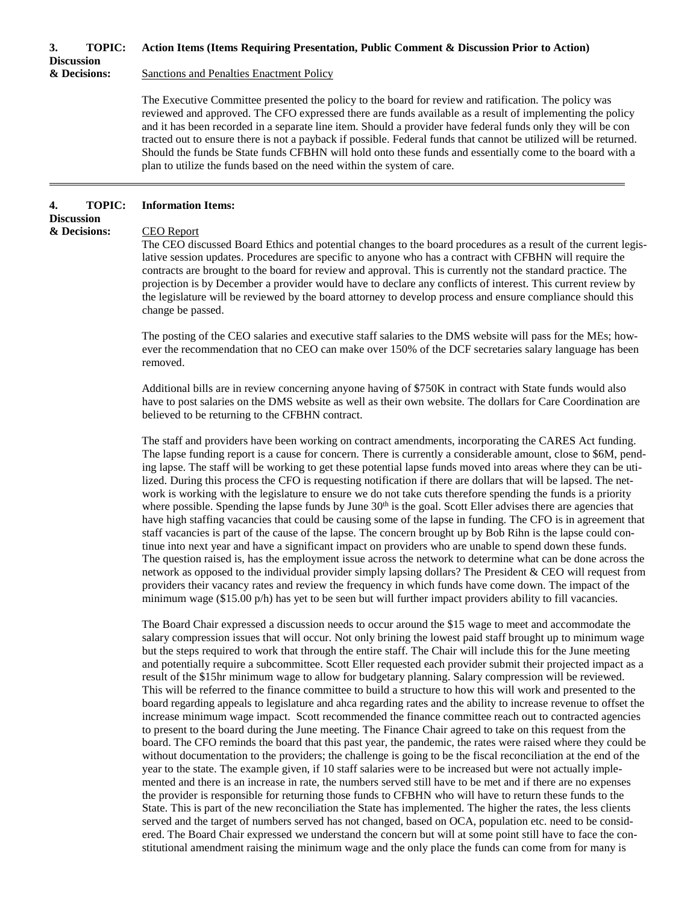# **3. TOPIC: Action Items (Items Requiring Presentation, Public Comment & Discussion Prior to Action)**

**Discussion**

#### **& Decisions:** Sanctions and Penalties Enactment Policy

The Executive Committee presented the policy to the board for review and ratification. The policy was reviewed and approved. The CFO expressed there are funds available as a result of implementing the policy and it has been recorded in a separate line item. Should a provider have federal funds only they will be con tracted out to ensure there is not a payback if possible. Federal funds that cannot be utilized will be returned. Should the funds be State funds CFBHN will hold onto these funds and essentially come to the board with a plan to utilize the funds based on the need within the system of care.

## **4. TOPIC: Information Items:**

**Discussion & Decisions:** CEO Report

The CEO discussed Board Ethics and potential changes to the board procedures as a result of the current legislative session updates. Procedures are specific to anyone who has a contract with CFBHN will require the contracts are brought to the board for review and approval. This is currently not the standard practice. The projection is by December a provider would have to declare any conflicts of interest. This current review by the legislature will be reviewed by the board attorney to develop process and ensure compliance should this change be passed.

The posting of the CEO salaries and executive staff salaries to the DMS website will pass for the MEs; however the recommendation that no CEO can make over 150% of the DCF secretaries salary language has been removed.

Additional bills are in review concerning anyone having of \$750K in contract with State funds would also have to post salaries on the DMS website as well as their own website. The dollars for Care Coordination are believed to be returning to the CFBHN contract.

The staff and providers have been working on contract amendments, incorporating the CARES Act funding. The lapse funding report is a cause for concern. There is currently a considerable amount, close to \$6M, pending lapse. The staff will be working to get these potential lapse funds moved into areas where they can be utilized. During this process the CFO is requesting notification if there are dollars that will be lapsed. The network is working with the legislature to ensure we do not take cuts therefore spending the funds is a priority where possible. Spending the lapse funds by June 30<sup>th</sup> is the goal. Scott Eller advises there are agencies that have high staffing vacancies that could be causing some of the lapse in funding. The CFO is in agreement that staff vacancies is part of the cause of the lapse. The concern brought up by Bob Rihn is the lapse could continue into next year and have a significant impact on providers who are unable to spend down these funds. The question raised is, has the employment issue across the network to determine what can be done across the network as opposed to the individual provider simply lapsing dollars? The President & CEO will request from providers their vacancy rates and review the frequency in which funds have come down. The impact of the minimum wage (\$15.00 p/h) has yet to be seen but will further impact providers ability to fill vacancies.

The Board Chair expressed a discussion needs to occur around the \$15 wage to meet and accommodate the salary compression issues that will occur. Not only brining the lowest paid staff brought up to minimum wage but the steps required to work that through the entire staff. The Chair will include this for the June meeting and potentially require a subcommittee. Scott Eller requested each provider submit their projected impact as a result of the \$15hr minimum wage to allow for budgetary planning. Salary compression will be reviewed. This will be referred to the finance committee to build a structure to how this will work and presented to the board regarding appeals to legislature and ahca regarding rates and the ability to increase revenue to offset the increase minimum wage impact. Scott recommended the finance committee reach out to contracted agencies to present to the board during the June meeting. The Finance Chair agreed to take on this request from the board. The CFO reminds the board that this past year, the pandemic, the rates were raised where they could be without documentation to the providers; the challenge is going to be the fiscal reconciliation at the end of the year to the state. The example given, if 10 staff salaries were to be increased but were not actually implemented and there is an increase in rate, the numbers served still have to be met and if there are no expenses the provider is responsible for returning those funds to CFBHN who will have to return these funds to the State. This is part of the new reconciliation the State has implemented. The higher the rates, the less clients served and the target of numbers served has not changed, based on OCA, population etc. need to be considered. The Board Chair expressed we understand the concern but will at some point still have to face the constitutional amendment raising the minimum wage and the only place the funds can come from for many is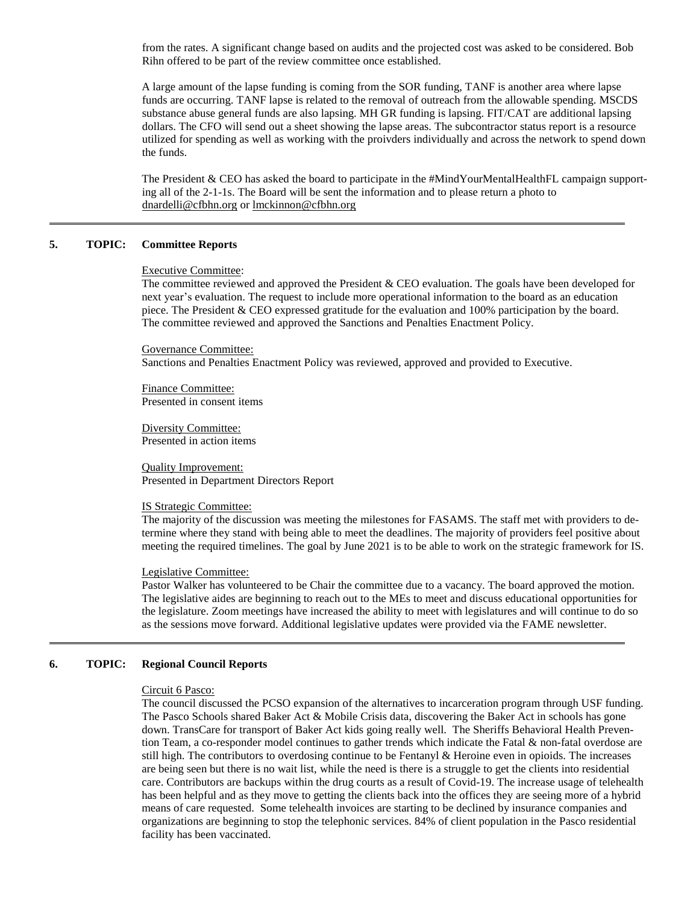from the rates. A significant change based on audits and the projected cost was asked to be considered. Bob Rihn offered to be part of the review committee once established.

A large amount of the lapse funding is coming from the SOR funding, TANF is another area where lapse funds are occurring. TANF lapse is related to the removal of outreach from the allowable spending. MSCDS substance abuse general funds are also lapsing. MH GR funding is lapsing. FIT/CAT are additional lapsing dollars. The CFO will send out a sheet showing the lapse areas. The subcontractor status report is a resource utilized for spending as well as working with the proivders individually and across the network to spend down the funds.

The President & CEO has asked the board to participate in the #MindYourMentalHealthFL campaign supporting all of the 2-1-1s. The Board will be sent the information and to please return a photo to [dnardelli@cfbhn.org](mailto:dnardelli@cfbhn.org) or [lmckinnon@cfbhn.org](mailto:lmckinnon@cfbhn.org)

# **5. TOPIC: Committee Reports**

#### Executive Committee:

The committee reviewed and approved the President & CEO evaluation. The goals have been developed for next year's evaluation. The request to include more operational information to the board as an education piece. The President & CEO expressed gratitude for the evaluation and 100% participation by the board. The committee reviewed and approved the Sanctions and Penalties Enactment Policy.

Governance Committee:

Sanctions and Penalties Enactment Policy was reviewed, approved and provided to Executive.

Finance Committee: Presented in consent items

Diversity Committee: Presented in action items

Quality Improvement: Presented in Department Directors Report

# IS Strategic Committee:

The majority of the discussion was meeting the milestones for FASAMS. The staff met with providers to determine where they stand with being able to meet the deadlines. The majority of providers feel positive about meeting the required timelines. The goal by June 2021 is to be able to work on the strategic framework for IS.

#### Legislative Committee:

Pastor Walker has volunteered to be Chair the committee due to a vacancy. The board approved the motion. The legislative aides are beginning to reach out to the MEs to meet and discuss educational opportunities for the legislature. Zoom meetings have increased the ability to meet with legislatures and will continue to do so as the sessions move forward. Additional legislative updates were provided via the FAME newsletter.

# **6. TOPIC: Regional Council Reports**

#### Circuit 6 Pasco:

The council discussed the PCSO expansion of the alternatives to incarceration program through USF funding. The Pasco Schools shared Baker Act & Mobile Crisis data, discovering the Baker Act in schools has gone down. TransCare for transport of Baker Act kids going really well. The Sheriffs Behavioral Health Prevention Team, a co-responder model continues to gather trends which indicate the Fatal & non-fatal overdose are still high. The contributors to overdosing continue to be Fentanyl & Heroine even in opioids. The increases are being seen but there is no wait list, while the need is there is a struggle to get the clients into residential care. Contributors are backups within the drug courts as a result of Covid-19. The increase usage of telehealth has been helpful and as they move to getting the clients back into the offices they are seeing more of a hybrid means of care requested. Some telehealth invoices are starting to be declined by insurance companies and organizations are beginning to stop the telephonic services. 84% of client population in the Pasco residential facility has been vaccinated.